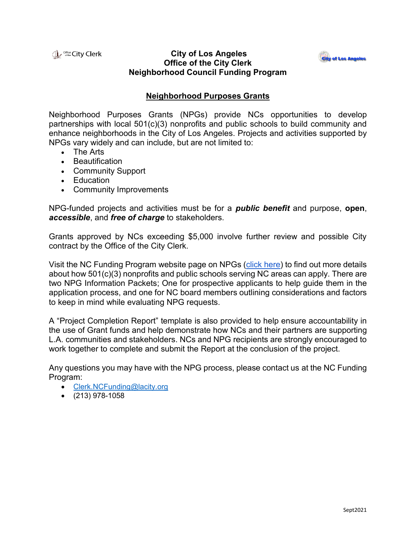**Lerk** Strike City Clerk

## **City of Los Angeles Office of the City Clerk Neighborhood Council Funding Program**



## **Neighborhood Purposes Grants**

Neighborhood Purposes Grants (NPGs) provide NCs opportunities to develop partnerships with local 501(c)(3) nonprofits and public schools to build community and enhance neighborhoods in the City of Los Angeles. Projects and activities supported by NPGs vary widely and can include, but are not limited to:

- The Arts
- Beautification
- Community Support
- Education
- Community Improvements

NPG-funded projects and activities must be for a *public benefit* and purpose, **open**, *accessible*, and *free of charge* to stakeholders.

Grants approved by NCs exceeding \$5,000 involve further review and possible City contract by the Office of the City Clerk.

Visit the NC Funding Program website page on NPGs [\(click here\)](https://clerk.lacity.org/clerk-services/nc-funding/documents-forms/npg-documents) to find out more details about how 501(c)(3) nonprofits and public schools serving NC areas can apply. There are two NPG Information Packets; One for prospective applicants to help guide them in the application process, and one for NC board members outlining considerations and factors to keep in mind while evaluating NPG requests.

A "Project Completion Report" template is also provided to help ensure accountability in the use of Grant funds and help demonstrate how NCs and their partners are supporting L.A. communities and stakeholders. NCs and NPG recipients are strongly encouraged to work together to complete and submit the Report at the conclusion of the project.

Any questions you may have with the NPG process, please contact us at the NC Funding Program:

- [Clerk.NCFunding@lacity.org](mailto:Clerk.NCFunding@lacity.org)
- $\bullet$  (213) 978-1058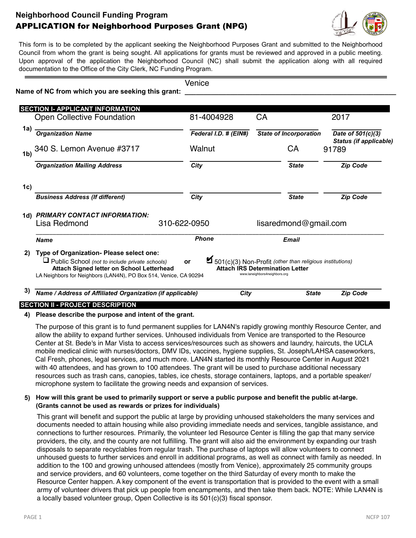# **Neighborhood Council Funding Program** APPLICATION for Neighborhood Purposes Grant (NPG)



This form is to be completed by the applicant seeking the Neighborhood Purposes Grant and submitted to the Neighborhood Council from whom the grant is being sought. All applications for grants must be reviewed and approved in a public meeting. Upon approval of the application the Neighborhood Council (NC) shall submit the application along with all required documentation to the Office of the City Clerk, NC Funding Program.

|                | Name of NC from which you are seeking this grant:                                                                                                                                                                  | Venice                |                                                                                                                                                           |                                                    |  |  |
|----------------|--------------------------------------------------------------------------------------------------------------------------------------------------------------------------------------------------------------------|-----------------------|-----------------------------------------------------------------------------------------------------------------------------------------------------------|----------------------------------------------------|--|--|
|                |                                                                                                                                                                                                                    |                       |                                                                                                                                                           |                                                    |  |  |
|                | <b>SECTION I- APPLICANT INFORMATION</b><br><b>Open Collective Foundation</b>                                                                                                                                       | 81-4004928            | CA                                                                                                                                                        | 2017                                               |  |  |
| 1a)            | <b>Organization Name</b>                                                                                                                                                                                           | Federal I.D. # (EIN#) | <b>State of Incorporation</b>                                                                                                                             | Date of 501(c)(3)                                  |  |  |
| 1 <sub>b</sub> | 340 S. Lemon Avenue #3717                                                                                                                                                                                          | Walnut                | CA                                                                                                                                                        | Status (if applicable)<br>91789<br><b>Zip Code</b> |  |  |
|                | <b>Organization Mailing Address</b>                                                                                                                                                                                | City                  | <b>State</b>                                                                                                                                              |                                                    |  |  |
| 1c)            |                                                                                                                                                                                                                    |                       |                                                                                                                                                           |                                                    |  |  |
|                | <b>Business Address (If different)</b>                                                                                                                                                                             | City                  | <b>State</b>                                                                                                                                              | <b>Zip Code</b>                                    |  |  |
|                | 1d) PRIMARY CONTACT INFORMATION:                                                                                                                                                                                   |                       |                                                                                                                                                           |                                                    |  |  |
|                | Lisa Redmond                                                                                                                                                                                                       | 310-622-0950          |                                                                                                                                                           | lisaredmond@gmail.com                              |  |  |
|                | <b>Name</b>                                                                                                                                                                                                        | <b>Phone</b>          | <b>Email</b>                                                                                                                                              |                                                    |  |  |
| 2)             | Type of Organization- Please select one:<br>$\Box$ Public School (not to include private schools)<br>Attach Signed letter on School Letterhead<br>LA Neighbors for Neighbors (LAN4N), PO Box 514, Venice, CA 90294 | or                    | $\blacktriangleright$ 501(c)(3) Non-Profit (other than religious institutions)<br><b>Attach IRS Determination Letter</b><br>www.laneighbors4neighbors.org |                                                    |  |  |
| 3)             | Name / Address of Affiliated Organization (if applicable)                                                                                                                                                          |                       | City<br><b>State</b>                                                                                                                                      | <b>Zip Code</b>                                    |  |  |

#### **SECTION II - PROJECT DESCRIPTION**

#### **4) Please describe the purpose and intent of the grant.**

The purpose of this grant is to fund permanent supplies for LAN4N's rapidly growing monthly Resource Center, and allow the ability to expand further services. Unhoused individuals from Venice are transported to the Resource Center at St. Bede's in Mar Vista to access services/resources such as showers and laundry, haircuts, the UCLA mobile medical clinic with nurses/doctors, DMV IDs, vaccines, hygiene supplies, St. Joseph/LAHSA caseworkers, Cal Fresh, phones, legal services, and much more. LAN4N started its monthly Resource Center in August 2021 with 40 attendees, and has grown to 100 attendees. The grant will be used to purchase additional necessary resources such as trash cans, canopies, tables, ice chests, storage containers, laptops, and a portable speaker/ microphone system to facilitate the growing needs and expansion of services.

### **5) How will this grant be used to primarily support or serve a public purpose and benefit the public at-large. (Grants cannot be used as rewards or prizes for individuals)**

This grant will benefit and support the public at large by providing unhoused stakeholders the many services and documents needed to attain housing while also providing immediate needs and services, tangible assistance, and connections to further resources. Primarily, the volunteer led Resource Center is filling the gap that many service providers, the city, and the county are not fulfilling. The grant will also aid the environment by expanding our trash disposals to separate recyclables from regular trash. The purchase of laptops will allow volunteers to connect unhoused guests to further services and enrolI in additional programs, as well as connect with family as needed. In addition to the 100 and growing unhoused attendees (mostly from Venice), approximately 25 community groups and service providers, and 60 volunteers, come together on the third Saturday of every month to make the Resource Center happen. A key component of the event is transportation that is provided to the event with a small army of volunteer drivers that pick up people from encampments, and then take them back. NOTE: While LAN4N is a locally based volunteer group, Open Collective is its 501(c)(3) fiscal sponsor.